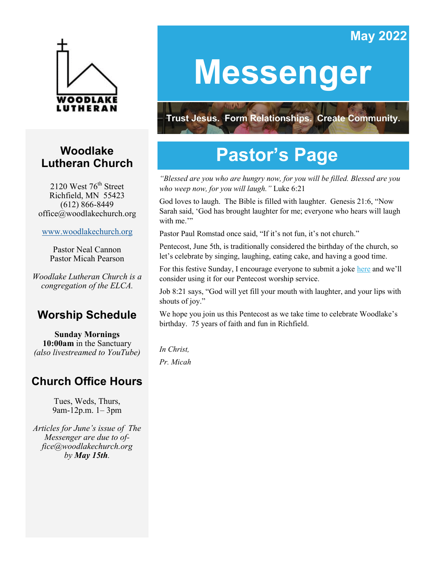# **May 2022**



# **Woodlake Lutheran Church**

2120 West  $76<sup>th</sup>$  Street Richfield, MN 55423 (612) 866-8449 office@woodlakechurch.org

[www.woodlakechurch.org](http://www.woodlakechurch.org)

Pastor Neal Cannon Pastor Micah Pearson

*Woodlake Lutheran Church is a congregation of the ELCA.*

# **Worship Schedule**

**Sunday Mornings 10:00am** in the Sanctuary *(also livestreamed to YouTube)*

# **Church Office Hours**

Tues, Weds, Thurs, 9am-12p.m. 1– 3pm

*Articles for June's issue of The Messenger are due to office@woodlakechurch.org by May 15th.* 

# **Messenger**

**Trust Jesus. Form Relationships. Create Community.** 

# **Pastor's Page**

*"Blessed are you who are hungry now, for you will be filled. Blessed are you who weep now, for you will laugh."* Luke 6:21

God loves to laugh. The Bible is filled with laughter. Genesis 21:6, "Now Sarah said, 'God has brought laughter for me; everyone who hears will laugh with me."

Pastor Paul Romstad once said, "If it's not fun, it's not church."

Pentecost, June 5th, is traditionally considered the birthday of the church, so let's celebrate by singing, laughing, eating cake, and having a good time.

For this festive Sunday, I encourage everyone to submit a joke [here](https://forms.gle/K7NSEmEi1MomTDGg7) and we'll consider using it for our Pentecost worship service.

Job 8:21 says, "God will yet fill your mouth with laughter, and your lips with shouts of joy."

We hope you join us this Pentecost as we take time to celebrate Woodlake's birthday. 75 years of faith and fun in Richfield.

*In Christ, Pr. Micah*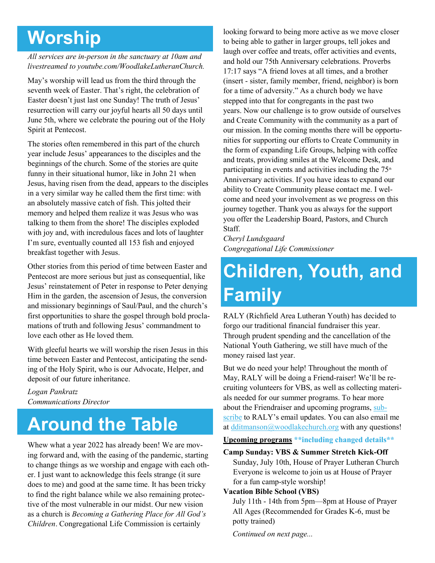# **Worship**

#### *All services are in-person in the sanctuary at 10am and livestreamed to youtube.com/WoodlakeLutheranChurch.*

May's worship will lead us from the third through the seventh week of Easter. That's right, the celebration of Easter doesn't just last one Sunday! The truth of Jesus' resurrection will carry our joyful hearts all 50 days until June 5th, where we celebrate the pouring out of the Holy Spirit at Pentecost.

The stories often remembered in this part of the church year include Jesus' appearances to the disciples and the beginnings of the church. Some of the stories are quite funny in their situational humor, like in John 21 when Jesus, having risen from the dead, appears to the disciples in a very similar way he called them the first time: with an absolutely massive catch of fish. This jolted their memory and helped them realize it was Jesus who was talking to them from the shore! The disciples exploded with joy and, with incredulous faces and lots of laughter I'm sure, eventually counted all 153 fish and enjoyed breakfast together with Jesus.

Other stories from this period of time between Easter and Pentecost are more serious but just as consequential, like Jesus' reinstatement of Peter in response to Peter denying Him in the garden, the ascension of Jesus, the conversion and missionary beginnings of Saul/Paul, and the church's first opportunities to share the gospel through bold proclamations of truth and following Jesus' commandment to love each other as He loved them.

With gleeful hearts we will worship the risen Jesus in this time between Easter and Pentecost, anticipating the sending of the Holy Spirit, who is our Advocate, Helper, and deposit of our future inheritance.

*Logan Pankratz Communications Director*

# **Around the Table**

Whew what a year 2022 has already been! We are moving forward and, with the easing of the pandemic, starting to change things as we worship and engage with each other. I just want to acknowledge this feels strange (it sure does to me) and good at the same time. It has been tricky to find the right balance while we also remaining protective of the most vulnerable in our midst. Our new vision as a church is *Becoming a Gathering Place for All God's Children*. Congregational Life Commission is certainly

looking forward to being more active as we move closer to being able to gather in larger groups, tell jokes and laugh over coffee and treats, offer activities and events, and hold our 75th Anniversary celebrations. Proverbs 17:17 says "A friend loves at all times, and a brother (insert - sister, family member, friend, neighbor) is born for a time of adversity." As a church body we have stepped into that for congregants in the past two years. Now our challenge is to grow outside of ourselves and Create Community with the community as a part of our mission. In the coming months there will be opportunities for supporting our efforts to Create Community in the form of expanding Life Groups, helping with coffee and treats, providing smiles at the Welcome Desk, and participating in events and activities including the  $75<sup>th</sup>$ Anniversary activities. If you have ideas to expand our ability to Create Community please contact me. I welcome and need your involvement as we progress on this journey together. Thank you as always for the support you offer the Leadership Board, Pastors, and Church Staff.

*Cheryl Lundsgaard Congregational Life Commissioner*

# **Children, Youth, and Family**

RALY (Richfield Area Lutheran Youth) has decided to forgo our traditional financial fundraiser this year. Through prudent spending and the cancellation of the National Youth Gathering, we still have much of the money raised last year.

But we do need your help! Throughout the month of May, RALY will be doing a Friend-raiser! We'll be recruiting volunteers for VBS, as well as collecting materials needed for our summer programs. To hear more about the Friendraiser and upcoming programs, [sub](https://mailchi.mp/9063851e9fef/raly-audience-subs-landing-page)[scribe](https://mailchi.mp/9063851e9fef/raly-audience-subs-landing-page) to RALY's email updates. You can also email me at [dditmanson@woodlakechurch.org](mailto:dditmanson@woodlakechurch.org?subject=Iquiry%20about%20RALY%20from%20April%20Messenger) with any questions!

#### **Upcoming programs \*\*including changed details\*\***

#### **Camp Sunday: VBS & Summer Stretch Kick-Off** Sunday, July 10th, House of Prayer Lutheran Church Everyone is welcome to join us at House of Prayer for a fun camp-style worship!

#### **Vacation Bible School (VBS)**

July 11th - 14th from 5pm—8pm at House of Prayer All Ages (Recommended for Grades K-6, must be potty trained)

*Continued on next page...*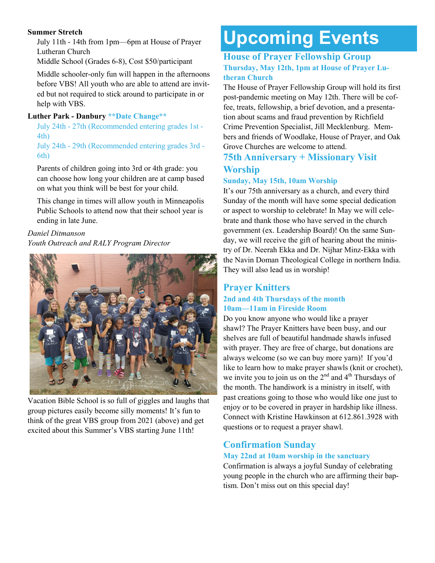#### **Summer Stretch**

July 11th - 14th from 1pm—6pm at House of Prayer Lutheran Church

Middle School (Grades 6-8), Cost \$50/participant

Middle schooler-only fun will happen in the afternoons before VBS! All youth who are able to attend are invited but not required to stick around to participate in or help with VBS.

#### **Luther Park - Danbury \*\*Date Change\*\***

July 24th - 27th (Recommended entering grades 1st - 4th)

July 24th - 29th (Recommended entering grades 3rd - 6th)

Parents of children going into 3rd or 4th grade: you can choose how long your children are at camp based on what you think will be best for your child.

This change in times will allow youth in Minneapolis Public Schools to attend now that their school year is ending in late June.

### *Daniel Ditmanson*

*Youth Outreach and RALY Program Director*



Vacation Bible School is so full of giggles and laughs that group pictures easily become silly moments! It's fun to think of the great VBS group from 2021 (above) and get excited about this Summer's VBS starting June 11th!

# **Upcoming Events**

#### **House of Prayer Fellowship Group Thursday, May 12th, 1pm at House of Prayer Lutheran Church**

The House of Prayer Fellowship Group will hold its first post-pandemic meeting on May 12th. There will be coffee, treats, fellowship, a brief devotion, and a presentation about scams and fraud prevention by Richfield Crime Prevention Specialist, Jill Mecklenburg. Members and friends of Woodlake, House of Prayer, and Oak Grove Churches are welcome to attend.

### **75th Anniversary + Missionary Visit Worship**

### **Sunday, May 15th, 10am Worship**

It's our 75th anniversary as a church, and every third Sunday of the month will have some special dedication or aspect to worship to celebrate! In May we will celebrate and thank those who have served in the church government (ex. Leadership Board)! On the same Sunday, we will receive the gift of hearing about the ministry of Dr. Neerah Ekka and Dr. Nijhar Minz-Ekka with the Navin Doman Theological College in northern India. They will also lead us in worship!

#### **Prayer Knitters 2nd and 4th Thursdays of the month 10am—11am in Fireside Room**

Do you know anyone who would like a prayer shawl? The Prayer Knitters have been busy, and our shelves are full of beautiful handmade shawls infused with prayer. They are free of charge, but donations are always welcome (so we can buy more yarn)! If you'd like to learn how to make prayer shawls (knit or crochet), we invite you to join us on the  $2<sup>nd</sup>$  and  $4<sup>th</sup>$  Thursdays of the month. The handiwork is a ministry in itself, with past creations going to those who would like one just to enjoy or to be covered in prayer in hardship like illness. Connect with Kristine Hawkinson at 612.861.3928 with questions or to request a prayer shawl.

# **Confirmation Sunday**

### **May 22nd at 10am worship in the sanctuary**

Confirmation is always a joyful Sunday of celebrating young people in the church who are affirming their baptism. Don't miss out on this special day!